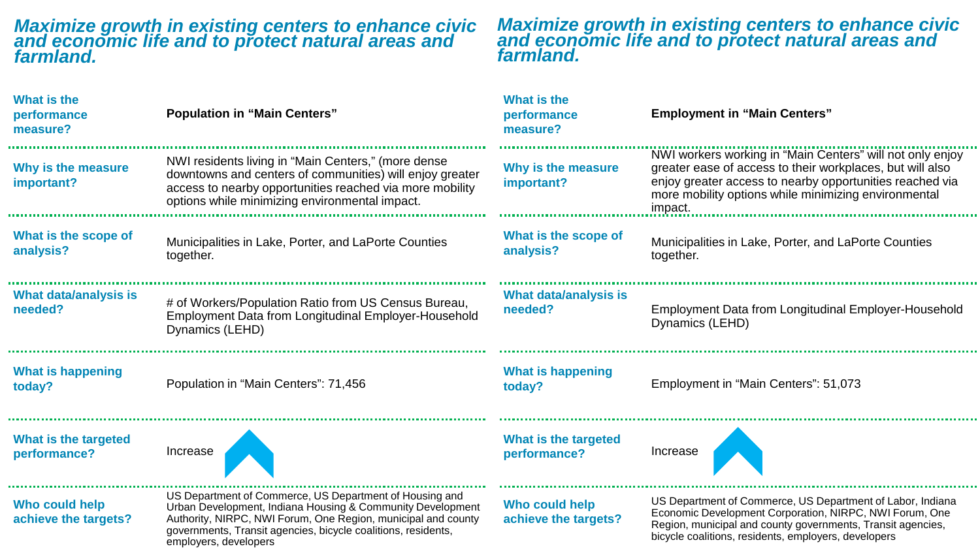## *Maximize growth in existing centers to enhance civic and economic life and to protect natural areas and farmland.*

## *Maximize growth in existing centers to enhance civic and economic life and to protect natural areas and farmland.*

| <b>What is the</b><br>performance<br>measure? | <b>Population in "Main Centers"</b>                                                                                                                                                                                                                                              | What is the<br>performance<br>measure? | <b>Employment in "Main Centers"</b>                                                                                                                                                                                                                   |
|-----------------------------------------------|----------------------------------------------------------------------------------------------------------------------------------------------------------------------------------------------------------------------------------------------------------------------------------|----------------------------------------|-------------------------------------------------------------------------------------------------------------------------------------------------------------------------------------------------------------------------------------------------------|
| Why is the measure<br>important?              | NWI residents living in "Main Centers," (more dense<br>downtowns and centers of communities) will enjoy greater<br>access to nearby opportunities reached via more mobility<br>options while minimizing environmental impact.                                                    | Why is the measure<br>important?       | NWI workers working in "Main Centers" will not only enjoy<br>greater ease of access to their workplaces, but will also<br>enjoy greater access to nearby opportunities reached via<br>more mobility options while minimizing environmental<br>impact. |
| What is the scope of<br>analysis?             | Municipalities in Lake, Porter, and LaPorte Counties<br>together.                                                                                                                                                                                                                | What is the scope of<br>analysis?      | Municipalities in Lake, Porter, and LaPorte Counties<br>together.                                                                                                                                                                                     |
| What data/analysis is<br>needed?              | # of Workers/Population Ratio from US Census Bureau,<br>Employment Data from Longitudinal Employer-Household<br>Dynamics (LEHD)                                                                                                                                                  | What data/analysis is<br>needed?       | <b>Employment Data from Longitudinal Employer-Household</b><br>Dynamics (LEHD)                                                                                                                                                                        |
| <b>What is happening</b><br>today?            | Population in "Main Centers": 71,456                                                                                                                                                                                                                                             | <b>What is happening</b><br>today?     | Employment in "Main Centers": 51,073                                                                                                                                                                                                                  |
| What is the targeted<br>performance?          | Increase                                                                                                                                                                                                                                                                         | What is the targeted<br>performance?   | Increase                                                                                                                                                                                                                                              |
| Who could help<br>achieve the targets?        | US Department of Commerce, US Department of Housing and<br>Urban Development, Indiana Housing & Community Development<br>Authority, NIRPC, NWI Forum, One Region, municipal and county<br>governments, Transit agencies, bicycle coalitions, residents,<br>employers, developers | Who could help<br>achieve the targets? | US Department of Commerce, US Department of Labor, Indiana<br>Economic Development Corporation, NIRPC, NWI Forum, One<br>Region, municipal and county governments, Transit agencies,<br>bicycle coalitions, residents, employers, developers          |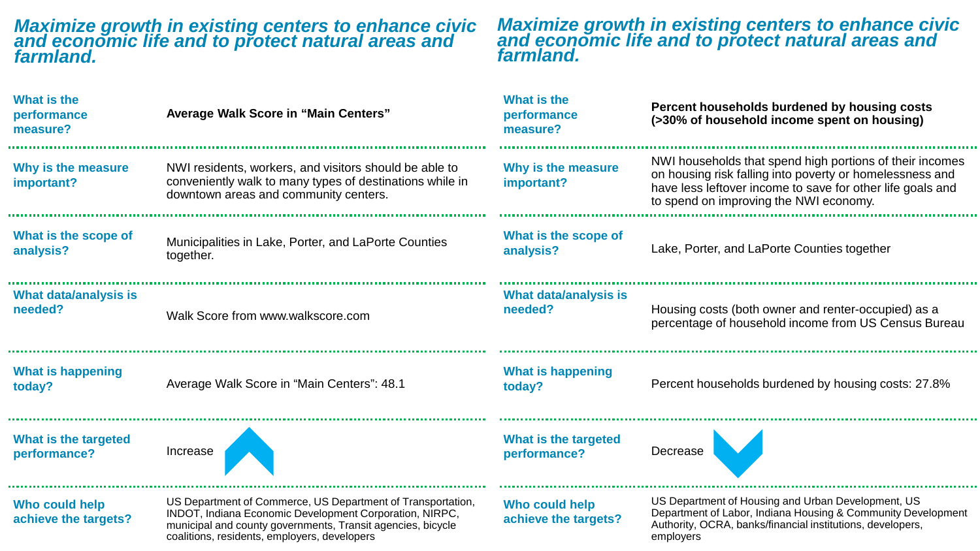## *Maximize growth in existing centers to enhance civic and economic life and to protect natural areas and farmland.*

coalitions, residents, employers, developers

## *Maximize growth in existing centers to enhance civic and economic life and to protect natural areas and farmland.*

employers

| What is the<br>performance<br>measure? | <b>Average Walk Score in "Main Centers"</b>                                                                                                                                           | What is the<br>performance<br>measure? | Percent households burdened by housing costs<br>(>30% of household income spent on housing)                                                                                                                                  |
|----------------------------------------|---------------------------------------------------------------------------------------------------------------------------------------------------------------------------------------|----------------------------------------|------------------------------------------------------------------------------------------------------------------------------------------------------------------------------------------------------------------------------|
| Why is the measure<br>important?       | NWI residents, workers, and visitors should be able to<br>conveniently walk to many types of destinations while in<br>downtown areas and community centers.                           | Why is the measure<br>important?       | NWI households that spend high portions of their incomes<br>on housing risk falling into poverty or homelessness and<br>have less leftover income to save for other life goals and<br>to spend on improving the NWI economy. |
| What is the scope of<br>analysis?      | Municipalities in Lake, Porter, and LaPorte Counties<br>together.                                                                                                                     | What is the scope of<br>analysis?      | Lake, Porter, and LaPorte Counties together                                                                                                                                                                                  |
| What data/analysis is<br>needed?       | Walk Score from www.walkscore.com                                                                                                                                                     | What data/analysis is<br>needed?       | Housing costs (both owner and renter-occupied) as a<br>percentage of household income from US Census Bureau                                                                                                                  |
| <b>What is happening</b><br>today?     | Average Walk Score in "Main Centers": 48.1                                                                                                                                            | <b>What is happening</b><br>today?     | Percent households burdened by housing costs: 27.8%                                                                                                                                                                          |
| What is the targeted<br>performance?   | Increase                                                                                                                                                                              | What is the targeted<br>performance?   | Decrease                                                                                                                                                                                                                     |
| Who could help<br>achieve the targets? | US Department of Commerce, US Department of Transportation,<br>INDOT, Indiana Economic Development Corporation, NIRPC,<br>municipal and county governments, Transit agencies, bicycle | Who could help<br>achieve the targets? | US Department of Housing and Urban Development, US<br>Department of Labor, Indiana Housing & Community Development<br>Authority, OCRA, banks/financial institutions, developers,                                             |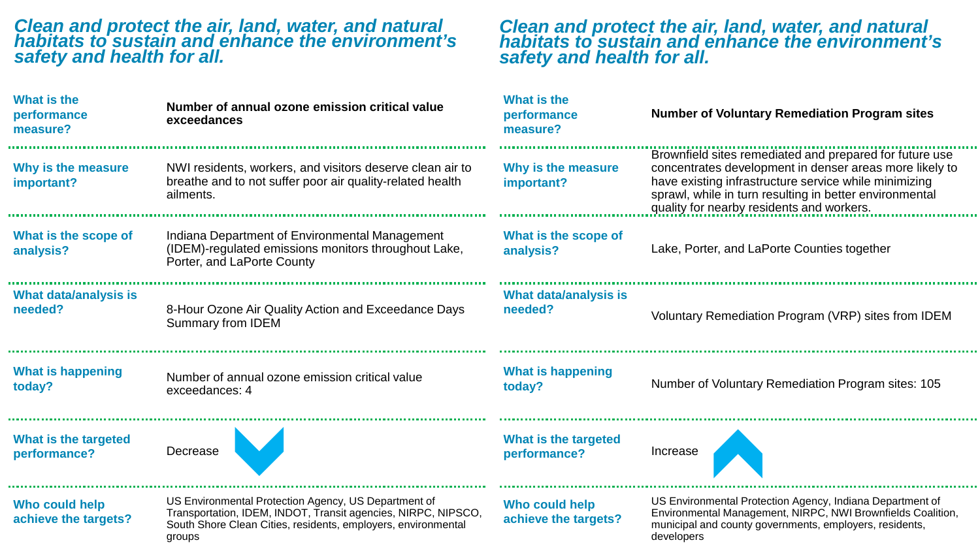| What is the<br>performance<br>measure? | Number of annual ozone emission critical value<br>exceedances                                                                                                                                    | What is the<br>performance<br>measure? | <b>Number of Voluntary Remediation Program sites</b>                                                                                                                                                                                                                                |
|----------------------------------------|--------------------------------------------------------------------------------------------------------------------------------------------------------------------------------------------------|----------------------------------------|-------------------------------------------------------------------------------------------------------------------------------------------------------------------------------------------------------------------------------------------------------------------------------------|
| Why is the measure<br>important?       | NWI residents, workers, and visitors deserve clean air to<br>breathe and to not suffer poor air quality-related health<br>ailments.                                                              | Why is the measure<br>important?       | Brownfield sites remediated and prepared for future use<br>concentrates development in denser areas more likely to<br>have existing infrastructure service while minimizing<br>sprawl, while in turn resulting in better environmental<br>quality for nearby residents and workers. |
| What is the scope of<br>analysis?      | Indiana Department of Environmental Management<br>(IDEM)-regulated emissions monitors throughout Lake,<br>Porter, and LaPorte County                                                             | What is the scope of<br>analysis?      | Lake, Porter, and LaPorte Counties together                                                                                                                                                                                                                                         |
| What data/analysis is<br>needed?       | 8-Hour Ozone Air Quality Action and Exceedance Days<br><b>Summary from IDEM</b>                                                                                                                  | What data/analysis is<br>needed?       | Voluntary Remediation Program (VRP) sites from IDEM                                                                                                                                                                                                                                 |
| <b>What is happening</b><br>today?     | Number of annual ozone emission critical value<br>exceedances: 4                                                                                                                                 | <b>What is happening</b><br>today?     | Number of Voluntary Remediation Program sites: 105                                                                                                                                                                                                                                  |
| What is the targeted<br>performance?   | Decrease                                                                                                                                                                                         | What is the targeted<br>performance?   | Increase                                                                                                                                                                                                                                                                            |
| Who could help<br>achieve the targets? | US Environmental Protection Agency, US Department of<br>Transportation, IDEM, INDOT, Transit agencies, NIRPC, NIPSCO,<br>South Shore Clean Cities, residents, employers, environmental<br>groups | Who could help<br>achieve the targets? | US Environmental Protection Agency, Indiana Department of<br>Environmental Management, NIRPC, NWI Brownfields Coalition,<br>municipal and county governments, employers, residents,<br>developers                                                                                   |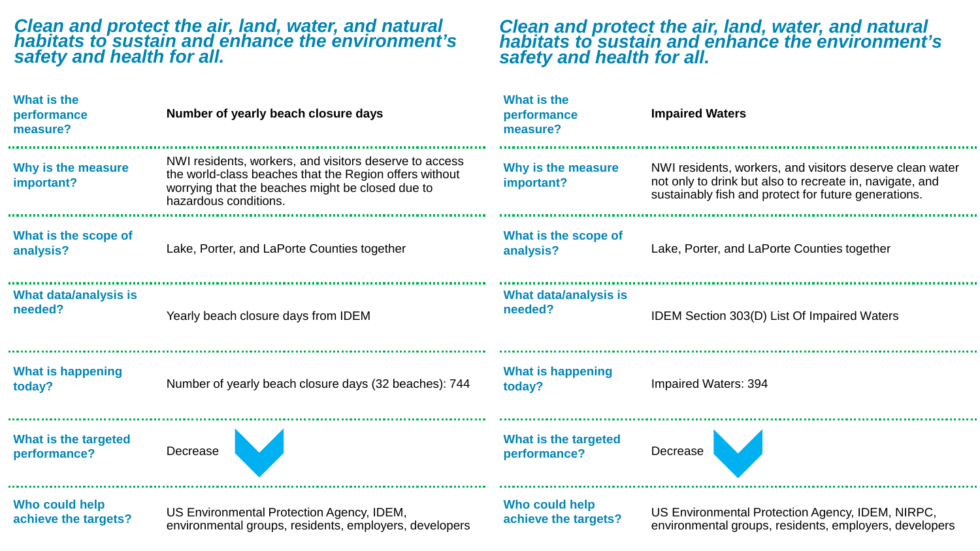**A** 

**COL** 

**A** 

**DO** 

| <b>What is the</b><br>performance<br>measure? | Number of yearly beach closure days                                                                                                                                                           | What is the<br>performance<br>measure?  | <b>Impaired Waters</b>                                                                                                                                                       |
|-----------------------------------------------|-----------------------------------------------------------------------------------------------------------------------------------------------------------------------------------------------|-----------------------------------------|------------------------------------------------------------------------------------------------------------------------------------------------------------------------------|
| Why is the measure<br>important?              | NWI residents, workers, and visitors deserve to access<br>the world-class beaches that the Region offers without<br>worrying that the beaches might be closed due to<br>hazardous conditions. | Why is the measure<br>important?        | NWI residents, workers, and visitors deserve clean water<br>not only to drink but also to recreate in, navigate, and<br>sustainably fish and protect for future generations. |
| What is the scope of<br>analysis?             | Lake, Porter, and LaPorte Counties together                                                                                                                                                   | What is the scope of<br>analysis?       | Lake, Porter, and LaPorte Counties together                                                                                                                                  |
| What data/analysis is<br>needed?              | Yearly beach closure days from IDEM                                                                                                                                                           | <b>What data/analysis is</b><br>needed? | IDEM Section 303(D) List Of Impaired Waters                                                                                                                                  |
| <b>What is happening</b><br>today?            | Number of yearly beach closure days (32 beaches): 744                                                                                                                                         | <b>What is happening</b><br>today?      | Impaired Waters: 394                                                                                                                                                         |
| <b>What is the targeted</b><br>performance?   | Decrease                                                                                                                                                                                      | What is the targeted<br>performance?    | Decrease                                                                                                                                                                     |
| Who could help<br>achieve the targets?        | US Environmental Protection Agency, IDEM,<br>environmental groups, residents, employers, developers                                                                                           | Who could help<br>achieve the targets?  | US Environmental Protection Agency, IDEM, NIRPC,<br>environmental groups, residents, employers, developers                                                                   |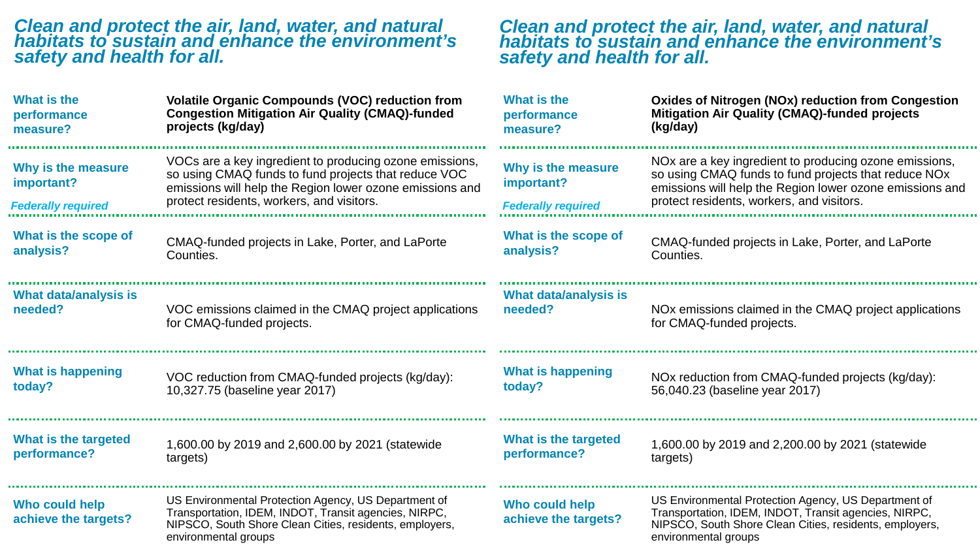| What is the                                                   | <b>Volatile Organic Compounds (VOC) reduction from</b>                                                                                                                                                                   | What is the                                                   | <b>Oxides of Nitrogen (NOx) reduction from Congestion</b>                                                                                                                                                                           |
|---------------------------------------------------------------|--------------------------------------------------------------------------------------------------------------------------------------------------------------------------------------------------------------------------|---------------------------------------------------------------|-------------------------------------------------------------------------------------------------------------------------------------------------------------------------------------------------------------------------------------|
| performance                                                   | <b>Congestion Mitigation Air Quality (CMAQ)-funded</b>                                                                                                                                                                   | performance                                                   | <b>Mitigation Air Quality (CMAQ)-funded projects</b>                                                                                                                                                                                |
| measure?                                                      | projects (kg/day)                                                                                                                                                                                                        | measure?                                                      | (kg/day)                                                                                                                                                                                                                            |
| Why is the measure<br>important?<br><b>Federally required</b> | VOCs are a key ingredient to producing ozone emissions,<br>so using CMAQ funds to fund projects that reduce VOC<br>emissions will help the Region lower ozone emissions and<br>protect residents, workers, and visitors. | Why is the measure<br>important?<br><b>Federally required</b> | NO <sub>x</sub> are a key ingredient to producing ozone emissions,<br>so using CMAQ funds to fund projects that reduce NOx<br>emissions will help the Region lower ozone emissions and<br>protect residents, workers, and visitors. |
| What is the scope of                                          | CMAQ-funded projects in Lake, Porter, and LaPorte                                                                                                                                                                        | What is the scope of                                          | CMAQ-funded projects in Lake, Porter, and LaPorte                                                                                                                                                                                   |
| analysis?                                                     | Counties.                                                                                                                                                                                                                | analysis?                                                     | Counties.                                                                                                                                                                                                                           |
| What data/analysis is                                         | VOC emissions claimed in the CMAQ project applications                                                                                                                                                                   | What data/analysis is                                         | NO <sub>x</sub> emissions claimed in the CMAQ project applications                                                                                                                                                                  |
| needed?                                                       | for CMAQ-funded projects.                                                                                                                                                                                                | needed?                                                       | for CMAQ-funded projects.                                                                                                                                                                                                           |
| <b>What is happening</b>                                      | VOC reduction from CMAQ-funded projects (kg/day):                                                                                                                                                                        | <b>What is happening</b>                                      | NOx reduction from CMAQ-funded projects (kg/day):                                                                                                                                                                                   |
| today?                                                        | 10,327.75 (baseline year 2017)                                                                                                                                                                                           | today?                                                        | 56,040.23 (baseline year 2017)                                                                                                                                                                                                      |
| What is the targeted                                          | 1,600.00 by 2019 and 2,600.00 by 2021 (statewide                                                                                                                                                                         | What is the targeted                                          | 1,600.00 by 2019 and 2,200.00 by 2021 (statewide                                                                                                                                                                                    |
| performance?                                                  | targets)                                                                                                                                                                                                                 | performance?                                                  | targets)                                                                                                                                                                                                                            |
| Who could help<br>achieve the targets?                        | US Environmental Protection Agency, US Department of<br>Transportation, IDEM, INDOT, Transit agencies, NIRPC,<br>NIPSCO, South Shore Clean Cities, residents, employers,<br>environmental groups                         | Who could help<br>achieve the targets?                        | US Environmental Protection Agency, US Department of<br>Transportation, IDEM, INDOT, Transit agencies, NIRPC,<br>NIPSCO, South Shore Clean Cities, residents, employers,<br>environmental groups                                    |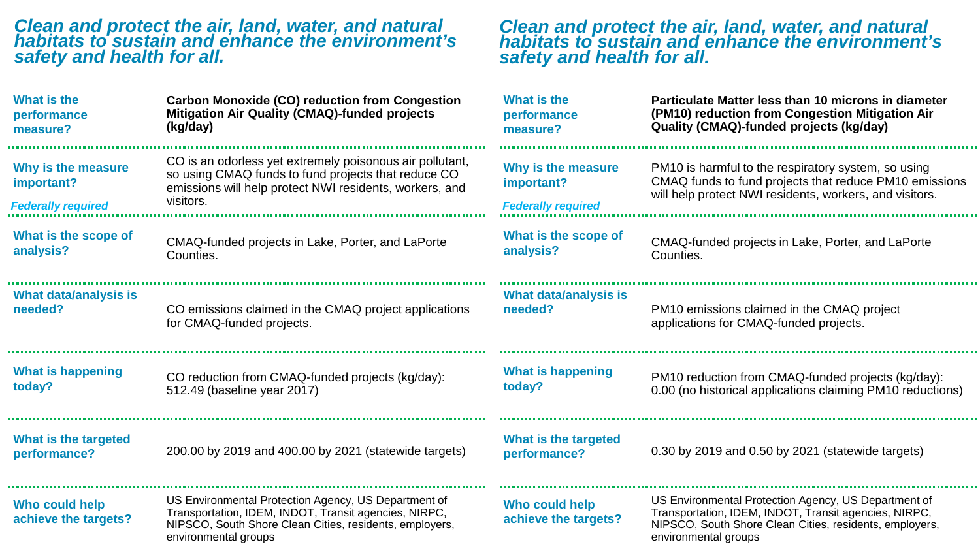$\sim$ 

| What is the                                                   | <b>Carbon Monoxide (CO) reduction from Congestion</b>                                                                                                                                            | What is the                                                   | Particulate Matter less than 10 microns in diameter                                                                                                                                              |
|---------------------------------------------------------------|--------------------------------------------------------------------------------------------------------------------------------------------------------------------------------------------------|---------------------------------------------------------------|--------------------------------------------------------------------------------------------------------------------------------------------------------------------------------------------------|
| performance                                                   | <b>Mitigation Air Quality (CMAQ)-funded projects</b>                                                                                                                                             | performance                                                   | (PM10) reduction from Congestion Mitigation Air                                                                                                                                                  |
| measure?                                                      | (kg/day)                                                                                                                                                                                         | measure?                                                      | Quality (CMAQ)-funded projects (kg/day)                                                                                                                                                          |
| Why is the measure<br>important?<br><b>Federally required</b> | CO is an odorless yet extremely poisonous air pollutant,<br>so using CMAQ funds to fund projects that reduce CO<br>emissions will help protect NWI residents, workers, and<br>visitors.          | Why is the measure<br>important?<br><b>Federally required</b> | PM10 is harmful to the respiratory system, so using<br>CMAQ funds to fund projects that reduce PM10 emissions<br>will help protect NWI residents, workers, and visitors.                         |
| What is the scope of                                          | CMAQ-funded projects in Lake, Porter, and LaPorte                                                                                                                                                | What is the scope of                                          | CMAQ-funded projects in Lake, Porter, and LaPorte                                                                                                                                                |
| analysis?                                                     | Counties.                                                                                                                                                                                        | analysis?                                                     | Counties.                                                                                                                                                                                        |
| What data/analysis is                                         | CO emissions claimed in the CMAQ project applications                                                                                                                                            | What data/analysis is                                         | PM10 emissions claimed in the CMAQ project                                                                                                                                                       |
| needed?                                                       | for CMAQ-funded projects.                                                                                                                                                                        | needed?                                                       | applications for CMAQ-funded projects.                                                                                                                                                           |
| <b>What is happening</b>                                      | CO reduction from CMAQ-funded projects (kg/day):                                                                                                                                                 | <b>What is happening</b>                                      | PM10 reduction from CMAQ-funded projects (kg/day):                                                                                                                                               |
| today?                                                        | 512.49 (baseline year 2017)                                                                                                                                                                      | today?                                                        | 0.00 (no historical applications claiming PM10 reductions)                                                                                                                                       |
| What is the targeted<br>performance?                          | 200.00 by 2019 and 400.00 by 2021 (statewide targets)                                                                                                                                            | What is the targeted<br>performance?                          | 0.30 by 2019 and 0.50 by 2021 (statewide targets)                                                                                                                                                |
| Who could help<br>achieve the targets?                        | US Environmental Protection Agency, US Department of<br>Transportation, IDEM, INDOT, Transit agencies, NIRPC,<br>NIPSCO, South Shore Clean Cities, residents, employers,<br>environmental groups | Who could help<br>achieve the targets?                        | US Environmental Protection Agency, US Department of<br>Transportation, IDEM, INDOT, Transit agencies, NIRPC,<br>NIPSCO, South Shore Clean Cities, residents, employers,<br>environmental groups |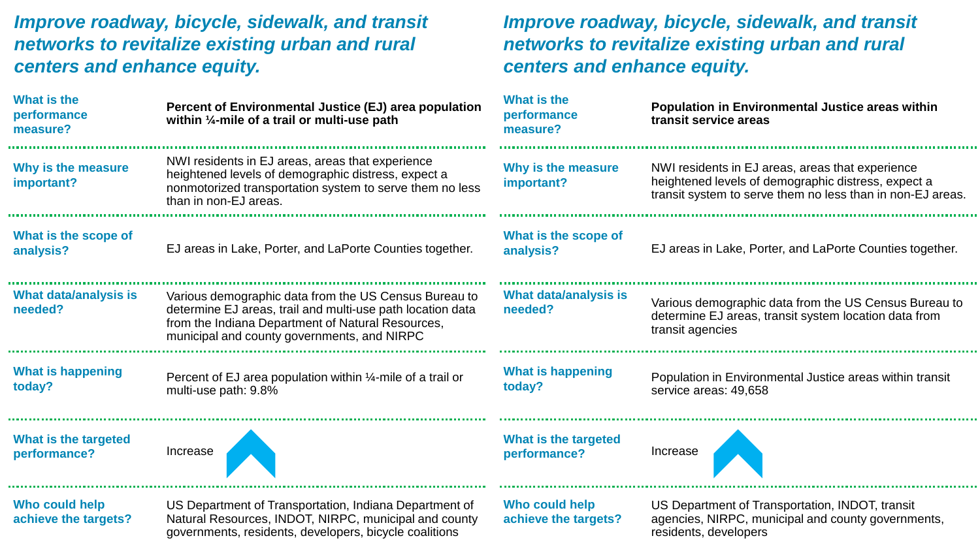| What is the<br>performance<br>measure?      | Percent of Environmental Justice (EJ) area population<br>within $\frac{1}{4}$ -mile of a trail or multi-use path                                                                                                        | What is the<br>performance<br>measure? | Population in Environmental Justice areas within<br>transit service areas                                                                                             |
|---------------------------------------------|-------------------------------------------------------------------------------------------------------------------------------------------------------------------------------------------------------------------------|----------------------------------------|-----------------------------------------------------------------------------------------------------------------------------------------------------------------------|
| Why is the measure<br>important?            | NWI residents in EJ areas, areas that experience<br>heightened levels of demographic distress, expect a<br>nonmotorized transportation system to serve them no less<br>than in non-EJ areas.                            | Why is the measure<br>important?       | NWI residents in EJ areas, areas that experience<br>heightened levels of demographic distress, expect a<br>transit system to serve them no less than in non-EJ areas. |
| What is the scope of<br>analysis?           | EJ areas in Lake, Porter, and LaPorte Counties together.                                                                                                                                                                | What is the scope of<br>analysis?      | EJ areas in Lake, Porter, and LaPorte Counties together.                                                                                                              |
| What data/analysis is<br>needed?            | Various demographic data from the US Census Bureau to<br>determine EJ areas, trail and multi-use path location data<br>from the Indiana Department of Natural Resources,<br>municipal and county governments, and NIRPC | What data/analysis is<br>needed?       | Various demographic data from the US Census Bureau to<br>determine EJ areas, transit system location data from<br>transit agencies                                    |
| <b>What is happening</b><br>today?          | Percent of EJ area population within 1/4-mile of a trail or<br>multi-use path: 9.8%                                                                                                                                     | <b>What is happening</b><br>today?     | Population in Environmental Justice areas within transit<br>service areas: 49,658                                                                                     |
| <b>What is the targeted</b><br>performance? | Increase                                                                                                                                                                                                                | What is the targeted<br>performance?   | Increase                                                                                                                                                              |
| Who could help<br>achieve the targets?      | US Department of Transportation, Indiana Department of<br>Natural Resources, INDOT, NIRPC, municipal and county<br>governments, residents, developers, bicycle coalitions                                               | Who could help<br>achieve the targets? | US Department of Transportation, INDOT, transit<br>agencies, NIRPC, municipal and county governments,<br>residents, developers                                        |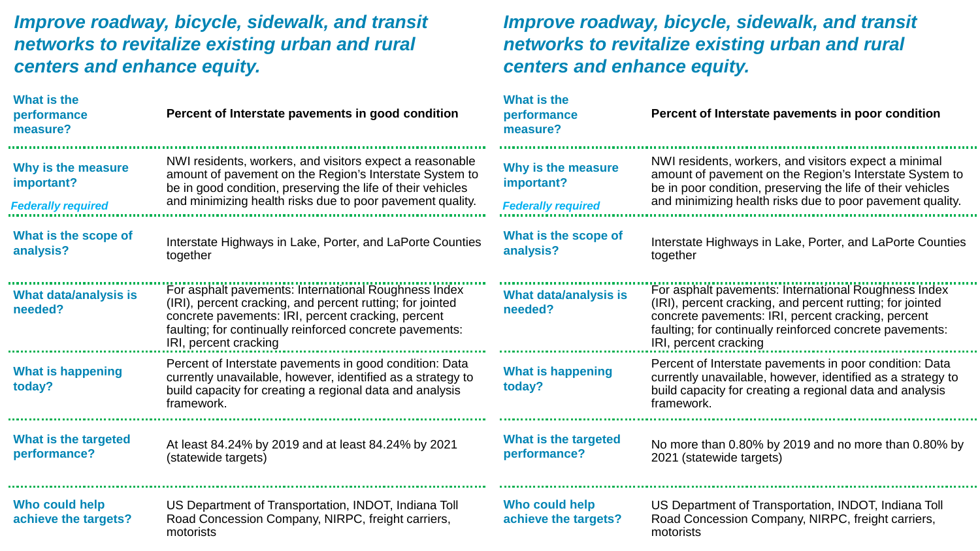| What is the<br>performance<br>measure?                        | Percent of Interstate pavements in good condition                                                                                                                                                                                                            | What is the<br>performance<br>measure?                        | Percent of Interstate pavements in poor condition                                                                                                                                                                                                            |
|---------------------------------------------------------------|--------------------------------------------------------------------------------------------------------------------------------------------------------------------------------------------------------------------------------------------------------------|---------------------------------------------------------------|--------------------------------------------------------------------------------------------------------------------------------------------------------------------------------------------------------------------------------------------------------------|
| Why is the measure<br>important?<br><b>Federally required</b> | NWI residents, workers, and visitors expect a reasonable<br>amount of pavement on the Region's Interstate System to<br>be in good condition, preserving the life of their vehicles<br>and minimizing health risks due to poor pavement quality.              | Why is the measure<br>important?<br><b>Federally required</b> | NWI residents, workers, and visitors expect a minimal<br>amount of pavement on the Region's Interstate System to<br>be in poor condition, preserving the life of their vehicles<br>and minimizing health risks due to poor pavement quality.                 |
| What is the scope of<br>analysis?                             | Interstate Highways in Lake, Porter, and LaPorte Counties<br>together                                                                                                                                                                                        | What is the scope of<br>analysis?                             | Interstate Highways in Lake, Porter, and LaPorte Counties<br>together                                                                                                                                                                                        |
| <b>What data/analysis is</b><br>needed?                       | For asphalt pavements: International Roughness Index<br>(IRI), percent cracking, and percent rutting; for jointed<br>concrete pavements: IRI, percent cracking, percent<br>faulting; for continually reinforced concrete pavements:<br>IRI, percent cracking | <b>What data/analysis is</b><br>needed?                       | For asphalt pavements: International Roughness Index<br>(IRI), percent cracking, and percent rutting; for jointed<br>concrete pavements: IRI, percent cracking, percent<br>faulting; for continually reinforced concrete pavements:<br>IRI, percent cracking |
| <b>What is happening</b><br>today?                            | Percent of Interstate pavements in good condition: Data<br>currently unavailable, however, identified as a strategy to<br>build capacity for creating a regional data and analysis<br>framework.                                                             | <b>What is happening</b><br>today?                            | Percent of Interstate pavements in poor condition: Data<br>currently unavailable, however, identified as a strategy to<br>build capacity for creating a regional data and analysis<br>framework.                                                             |
| What is the targeted<br>performance?                          | At least 84.24% by 2019 and at least 84.24% by 2021<br>(statewide targets)                                                                                                                                                                                   | What is the targeted<br>performance?                          | No more than 0.80% by 2019 and no more than 0.80% by<br>2021 (statewide targets)                                                                                                                                                                             |
| Who could help<br>achieve the targets?                        | US Department of Transportation, INDOT, Indiana Toll<br>Road Concession Company, NIRPC, freight carriers,<br>motorists                                                                                                                                       | Who could help<br>achieve the targets?                        | US Department of Transportation, INDOT, Indiana Toll<br>Road Concession Company, NIRPC, freight carriers,<br>motorists                                                                                                                                       |

*Improve roadway, bicycle, sidewalk, and transit* 

*networks to revitalize existing urban and rural* 

*centers and enhance equity.*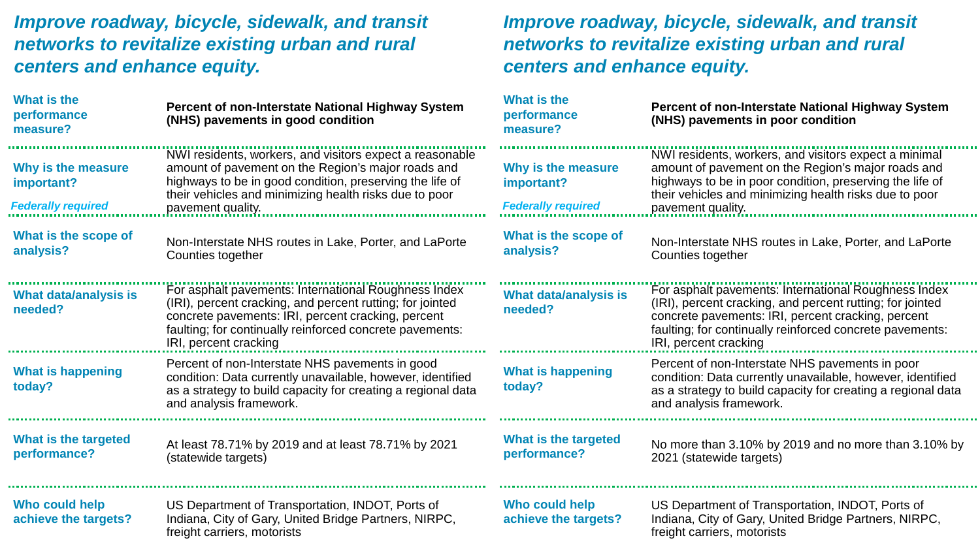#### **What is the What is the Percent of non-Interstate National Highway System Percent of non-Interstate National Highway System performance performance (NHS) pavements in good condition (NHS) pavements in poor condition measure? measure?** NWI residents, workers, and visitors expect a reasonable NWI residents, workers, and visitors expect a minimal amount of pavement on the Region's major roads and **Why is the measure**  amount of pavement on the Region's major roads and **Why is the measure**  highways to be in poor condition, preserving the life of highways to be in good condition, preserving the life of **important? important?** their vehicles and minimizing health risks due to poor their vehicles and minimizing health risks due to poor *Federally required Federally required* pavement quality. pavement quality. **What is the scope of What is the scope of**  Non-Interstate NHS routes in Lake, Porter, and LaPorte Non-Interstate NHS routes in Lake, Porter, and LaPorte **analysis? analysis?** Counties together Counties together For asphalt pavements: International Roughness Index For asphalt pavements: International Roughness Index **What data/analysis is What data/analysis is**  (IRI), percent cracking, and percent rutting; for jointed (IRI), percent cracking, and percent rutting; for jointed **needed? needed?** concrete pavements: IRI, percent cracking, percent concrete pavements: IRI, percent cracking, percent faulting; for continually reinforced concrete pavements: faulting; for continually reinforced concrete pavements: IRI, percent cracking IRI, percent cracking Percent of non-Interstate NHS pavements in good Percent of non-Interstate NHS pavements in poor **What is happening What is happening**  condition: Data currently unavailable, however, identified condition: Data currently unavailable, however, identified **today? today?** as a strategy to build capacity for creating a regional data as a strategy to build capacity for creating a regional data and analysis framework. and analysis framework. **What is the targeted What is the targeted**  At least 78.71% by 2019 and at least 78.71% by 2021 No more than 3.10% by 2019 and no more than 3.10% by **performance? performance?** (statewide targets) 2021 (statewide targets) **Who could help Who could help**  US Department of Transportation, INDOT, Ports of US Department of Transportation, INDOT, Ports of Indiana, City of Gary, United Bridge Partners, NIRPC, Indiana, City of Gary, United Bridge Partners, NIRPC, **achieve the targets? achieve the targets?** freight carriers, motorists freight carriers, motorists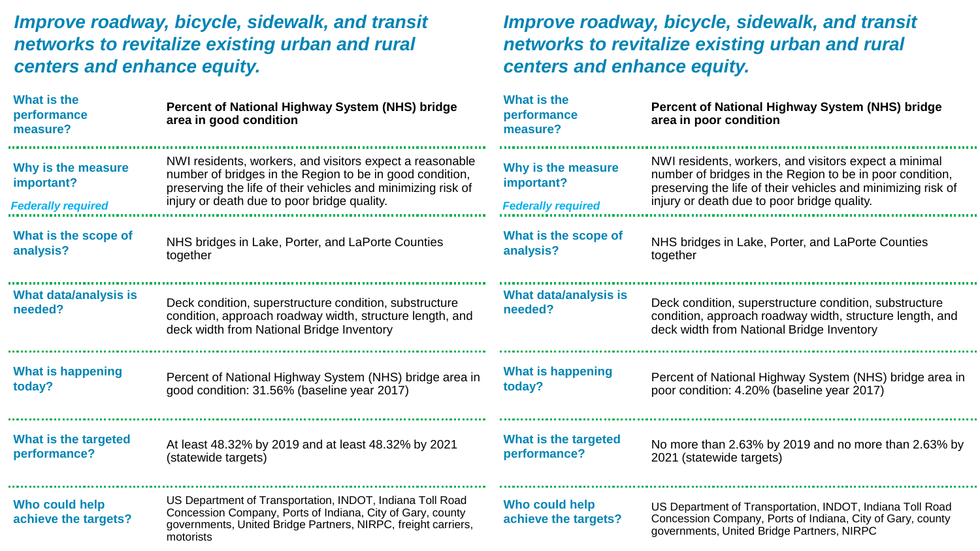#### **Percent of National Highway System (NHS) bridge area in good condition** NHS bridges in Lake, Porter, and LaPorte Counties together Deck condition, superstructure condition, substructure condition, approach roadway width, structure length, and deck width from National Bridge Inventory Percent of National Highway System (NHS) bridge area in good condition: 31.56% (baseline year 2017) At least 48.32% by 2019 and at least 48.32% by 2021 (statewide targets) US Department of Transportation, INDOT, Indiana Toll Road Concession Company, Ports of Indiana, City of Gary, county governments, United Bridge Partners, NIRPC, freight carriers, motorists NWI residents, workers, and visitors expect a reasonable number of bridges in the Region to be in good condition, preserving the life of their vehicles and minimizing risk of injury or death due to poor bridge quality. **Percent of National Highway System (NHS) bridge area in poor condition** NHS bridges in Lake, Porter, and LaPorte Counties together Deck condition, superstructure condition, substructure condition, approach roadway width, structure length, and deck width from National Bridge Inventory Percent of National Highway System (NHS) bridge area in poor condition: 4.20% (baseline year 2017) No more than 2.63% by 2019 and no more than 2.63% by 2021 (statewide targets) US Department of Transportation, INDOT, Indiana Toll Road Concession Company, Ports of Indiana, City of Gary, county governments, United Bridge Partners, NIRPC NWI residents, workers, and visitors expect a minimal number of bridges in the Region to be in poor condition, preserving the life of their vehicles and minimizing risk of injury or death due to poor bridge quality. *Federally required Federally required* **What is the performance measure? Why is the measure important? What is the scope of analysis? What data/analysis is needed? What is happening today? What is the targeted performance? Who could help achieve the targets? What is the performance measure? Why is the measure important? What is the scope of analysis? What data/analysis is needed? What is happening today? What is the targeted performance? Who could help achieve the targets?**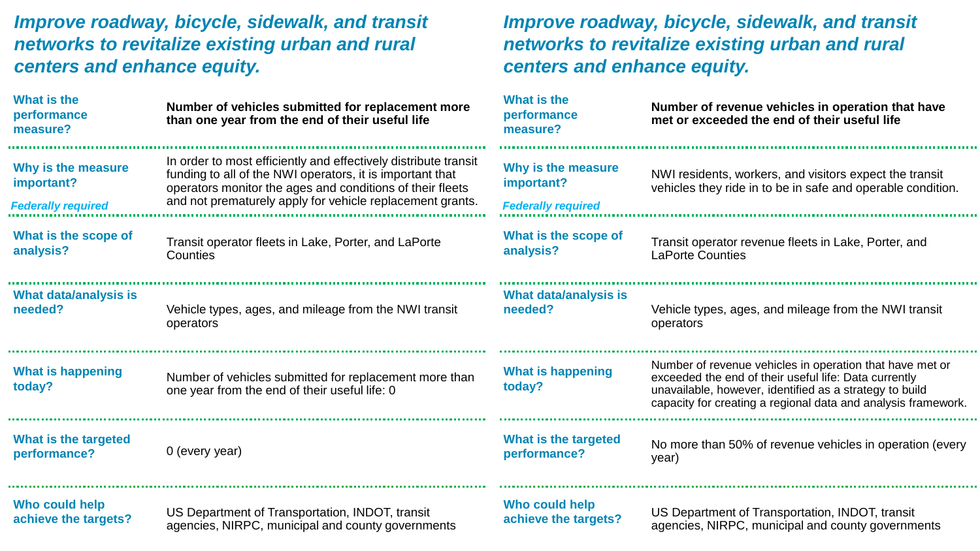| What is the<br>performance<br>measure? | Number of vehicles submitted for replacement more<br>than one year from the end of their useful life                                                                                                                                                   | What is the<br>performance<br>measure? | Number of revenue vehicles in operation that have<br>met or exceeded the end of their useful life                                                                                                                                             |
|----------------------------------------|--------------------------------------------------------------------------------------------------------------------------------------------------------------------------------------------------------------------------------------------------------|----------------------------------------|-----------------------------------------------------------------------------------------------------------------------------------------------------------------------------------------------------------------------------------------------|
| Why is the measure<br>important?       | In order to most efficiently and effectively distribute transit<br>funding to all of the NWI operators, it is important that<br>operators monitor the ages and conditions of their fleets<br>and not prematurely apply for vehicle replacement grants. | Why is the measure<br>important?       | NWI residents, workers, and visitors expect the transit<br>vehicles they ride in to be in safe and operable condition.                                                                                                                        |
| <b>Federally required</b>              |                                                                                                                                                                                                                                                        | <b>Federally required</b>              |                                                                                                                                                                                                                                               |
| What is the scope of                   | Transit operator fleets in Lake, Porter, and LaPorte                                                                                                                                                                                                   | What is the scope of                   | Transit operator revenue fleets in Lake, Porter, and                                                                                                                                                                                          |
| analysis?                              | Counties                                                                                                                                                                                                                                               | analysis?                              | <b>LaPorte Counties</b>                                                                                                                                                                                                                       |
| What data/analysis is                  | Vehicle types, ages, and mileage from the NWI transit                                                                                                                                                                                                  | What data/analysis is                  | Vehicle types, ages, and mileage from the NWI transit                                                                                                                                                                                         |
| needed?                                | operators                                                                                                                                                                                                                                              | needed?                                | operators                                                                                                                                                                                                                                     |
| <b>What is happening</b><br>today?     | Number of vehicles submitted for replacement more than<br>one year from the end of their useful life: 0                                                                                                                                                | <b>What is happening</b><br>today?     | Number of revenue vehicles in operation that have met or<br>exceeded the end of their useful life: Data currently<br>unavailable, however, identified as a strategy to build<br>capacity for creating a regional data and analysis framework. |
| What is the targeted                   | 0 (every year)                                                                                                                                                                                                                                         | What is the targeted                   | No more than 50% of revenue vehicles in operation (every                                                                                                                                                                                      |
| performance?                           |                                                                                                                                                                                                                                                        | performance?                           | year)                                                                                                                                                                                                                                         |
| Who could help                         | US Department of Transportation, INDOT, transit                                                                                                                                                                                                        | Who could help                         | US Department of Transportation, INDOT, transit                                                                                                                                                                                               |
| achieve the targets?                   | agencies, NIRPC, municipal and county governments                                                                                                                                                                                                      | achieve the targets?                   | agencies, NIRPC, municipal and county governments                                                                                                                                                                                             |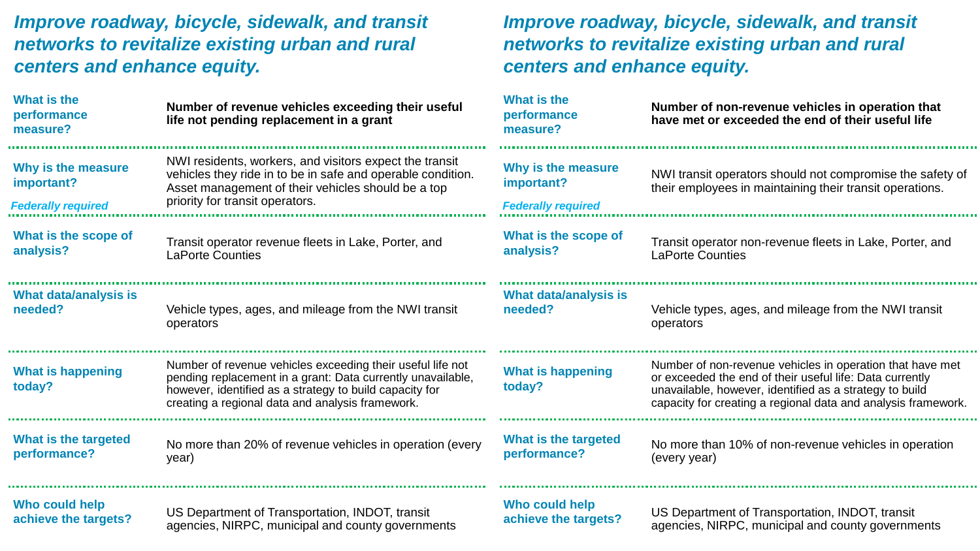| What is the<br>performance<br>measure?                        | Number of revenue vehicles exceeding their useful<br>life not pending replacement in a grant                                                                                                                                             | <b>What is the</b><br>performance<br>measure?                 | Number of non-revenue vehicles in operation that<br>have met or exceeded the end of their useful life                                                                                                                                             |
|---------------------------------------------------------------|------------------------------------------------------------------------------------------------------------------------------------------------------------------------------------------------------------------------------------------|---------------------------------------------------------------|---------------------------------------------------------------------------------------------------------------------------------------------------------------------------------------------------------------------------------------------------|
| Why is the measure<br>important?<br><b>Federally required</b> | NWI residents, workers, and visitors expect the transit<br>vehicles they ride in to be in safe and operable condition.<br>Asset management of their vehicles should be a top<br>priority for transit operators.                          | Why is the measure<br>important?<br><b>Federally required</b> | NWI transit operators should not compromise the safety of<br>their employees in maintaining their transit operations.                                                                                                                             |
| What is the scope of                                          | Transit operator revenue fleets in Lake, Porter, and                                                                                                                                                                                     | What is the scope of                                          | Transit operator non-revenue fleets in Lake, Porter, and                                                                                                                                                                                          |
| analysis?                                                     | <b>LaPorte Counties</b>                                                                                                                                                                                                                  | analysis?                                                     | <b>LaPorte Counties</b>                                                                                                                                                                                                                           |
| What data/analysis is                                         | Vehicle types, ages, and mileage from the NWI transit                                                                                                                                                                                    | <b>What data/analysis is</b>                                  | Vehicle types, ages, and mileage from the NWI transit                                                                                                                                                                                             |
| needed?                                                       | operators                                                                                                                                                                                                                                | needed?                                                       | operators                                                                                                                                                                                                                                         |
| <b>What is happening</b><br>today?                            | Number of revenue vehicles exceeding their useful life not<br>pending replacement in a grant: Data currently unavailable,<br>however, identified as a strategy to build capacity for<br>creating a regional data and analysis framework. | <b>What is happening</b><br>today?                            | Number of non-revenue vehicles in operation that have met<br>or exceeded the end of their useful life: Data currently<br>unavailable, however, identified as a strategy to build<br>capacity for creating a regional data and analysis framework. |
| What is the targeted                                          | No more than 20% of revenue vehicles in operation (every                                                                                                                                                                                 | What is the targeted                                          | No more than 10% of non-revenue vehicles in operation                                                                                                                                                                                             |
| performance?                                                  | year)                                                                                                                                                                                                                                    | performance?                                                  | (every year)                                                                                                                                                                                                                                      |
| Who could help                                                | US Department of Transportation, INDOT, transit                                                                                                                                                                                          | Who could help                                                | US Department of Transportation, INDOT, transit                                                                                                                                                                                                   |
| achieve the targets?                                          | agencies, NIRPC, municipal and county governments                                                                                                                                                                                        | achieve the targets?                                          | agencies, NIRPC, municipal and county governments                                                                                                                                                                                                 |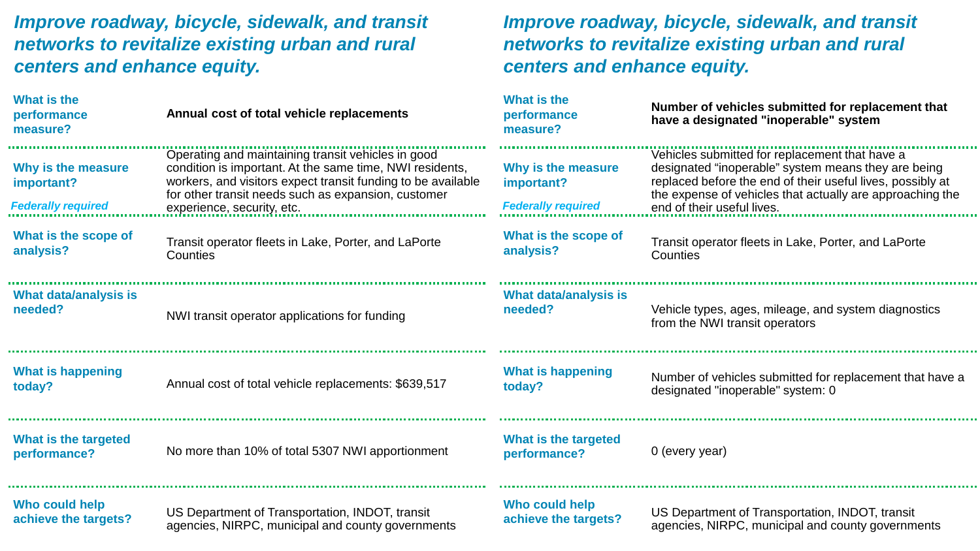**A 10** 

| <b>What is the</b><br>performance<br>measure?                 | Annual cost of total vehicle replacements                                                                                                                                                                                                                           | <b>What is the</b><br>performance<br>measure?                 | Number of vehicles submitted for replacement that<br>have a designated "inoperable" system                                                                                                                                                                     |
|---------------------------------------------------------------|---------------------------------------------------------------------------------------------------------------------------------------------------------------------------------------------------------------------------------------------------------------------|---------------------------------------------------------------|----------------------------------------------------------------------------------------------------------------------------------------------------------------------------------------------------------------------------------------------------------------|
| Why is the measure<br>important?<br><b>Federally required</b> | Operating and maintaining transit vehicles in good<br>condition is important. At the same time, NWI residents,<br>workers, and visitors expect transit funding to be available<br>for other transit needs such as expansion, customer<br>experience, security, etc. | Why is the measure<br>important?<br><b>Federally required</b> | Vehicles submitted for replacement that have a<br>designated "inoperable" system means they are being<br>replaced before the end of their useful lives, possibly at<br>the expense of vehicles that actually are approaching the<br>end of their useful lives. |
| What is the scope of                                          | Transit operator fleets in Lake, Porter, and LaPorte                                                                                                                                                                                                                | What is the scope of                                          | Transit operator fleets in Lake, Porter, and LaPorte                                                                                                                                                                                                           |
| analysis?                                                     | Counties                                                                                                                                                                                                                                                            | analysis?                                                     | Counties                                                                                                                                                                                                                                                       |
| What data/analysis is                                         | NWI transit operator applications for funding                                                                                                                                                                                                                       | What data/analysis is                                         | Vehicle types, ages, mileage, and system diagnostics                                                                                                                                                                                                           |
| needed?                                                       |                                                                                                                                                                                                                                                                     | needed?                                                       | from the NWI transit operators                                                                                                                                                                                                                                 |
| What is happening                                             | Annual cost of total vehicle replacements: \$639,517                                                                                                                                                                                                                | <b>What is happening</b>                                      | Number of vehicles submitted for replacement that have a                                                                                                                                                                                                       |
| today?                                                        |                                                                                                                                                                                                                                                                     | today?                                                        | designated "inoperable" system: 0                                                                                                                                                                                                                              |
| What is the targeted<br>performance?                          | No more than 10% of total 5307 NWI apportionment                                                                                                                                                                                                                    | What is the targeted<br>performance?                          | 0 (every year)                                                                                                                                                                                                                                                 |
| Who could help                                                | US Department of Transportation, INDOT, transit                                                                                                                                                                                                                     | Who could help                                                | US Department of Transportation, INDOT, transit                                                                                                                                                                                                                |
| achieve the targets?                                          | agencies, NIRPC, municipal and county governments                                                                                                                                                                                                                   | achieve the targets?                                          | agencies, NIRPC, municipal and county governments                                                                                                                                                                                                              |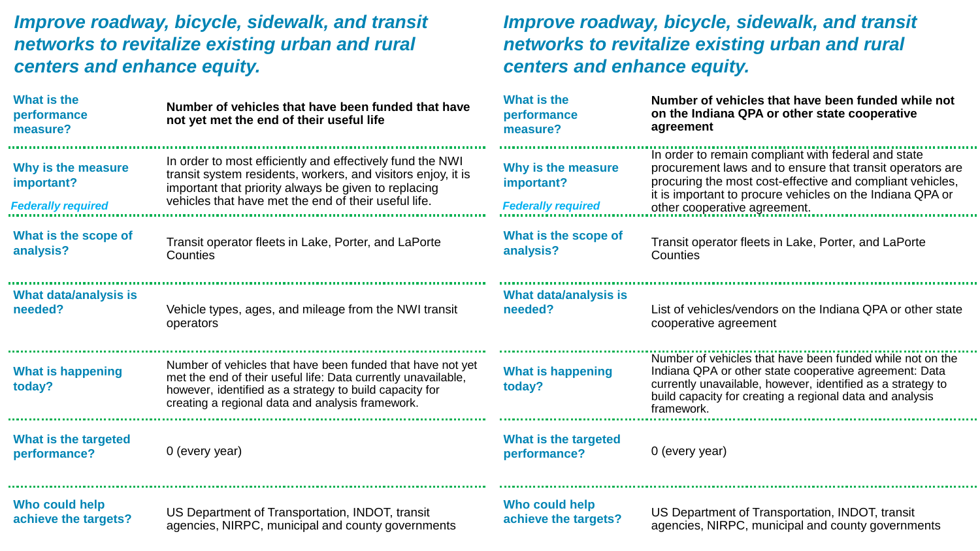#### **Number of vehicles that have been funded that have not yet met the end of their useful life** Transit operator fleets in Lake, Porter, and LaPorte **Counties** Vehicle types, ages, and mileage from the NWI transit operators Number of vehicles that have been funded that have not yet met the end of their useful life: Data currently unavailable, however, identified as a strategy to build capacity for creating a regional data and analysis framework. 0 (every year) In order to most efficiently and effectively fund the NWI transit system residents, workers, and visitors enjoy, it is important that priority always be given to replacing vehicles that have met the end of their useful life. **Number of vehicles that have been funded while not on the Indiana QPA or other state cooperative agreement** Transit operator fleets in Lake, Porter, and LaPorte **Counties** List of vehicles/vendors on the Indiana QPA or other state cooperative agreement Number of vehicles that have been funded while not on the Indiana QPA or other state cooperative agreement: Data currently unavailable, however, identified as a strategy to build capacity for creating a regional data and analysis framework. 0 (every year) In order to remain compliant with federal and state procurement laws and to ensure that transit operators are procuring the most cost-effective and compliant vehicles, it is important to procure vehicles on the Indiana QPA or *Federally required Federally required* other cooperative agreement. **What is the performance measure? Why is the measure important? What is the scope of analysis? What data/analysis is needed? What is happening today? What is the targeted performance?** *Improve roadway, bicycle, sidewalk, and transit networks to revitalize existing urban and rural centers and enhance equity.*

**Who could help achieve the targets?**

**What is the targeted** 

**performance?**

**What is the performance measure?**

**important?**

**analysis?**

**needed?**

**today?**

**Why is the measure** 

**What is the scope of** 

**What data/analysis is** 

**What is happening** 

US Department of Transportation, INDOT, transit agencies, NIRPC, municipal and county governments **Who could help achieve the targets?**

US Department of Transportation, INDOT, transit agencies, NIRPC, municipal and county governments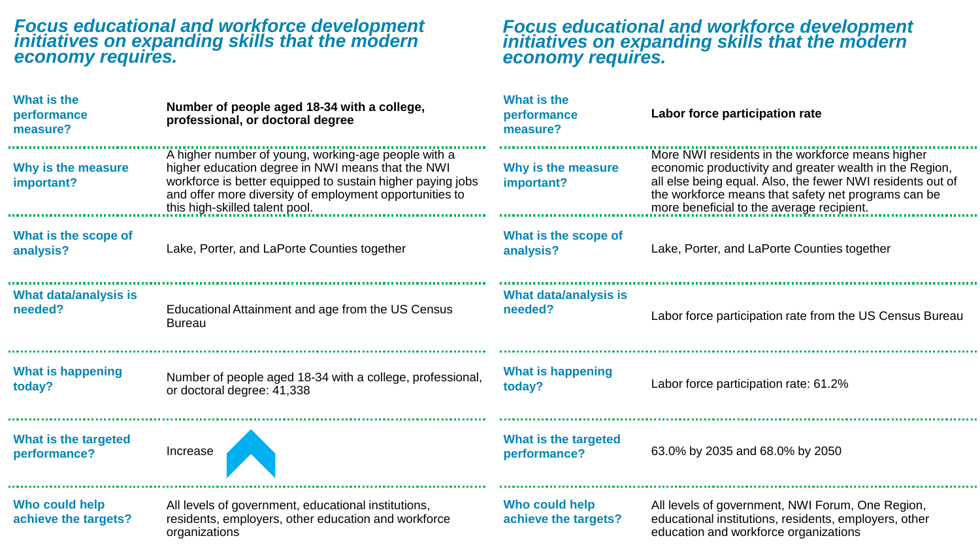## *Focus educational and workforce development initiatives on expanding skills that the modern economy requires.*

## *Focus educational and workforce development initiatives on expanding skills that the modern economy requires.*

| What is the<br>performance<br>measure?  | Number of people aged 18-34 with a college,<br>professional, or doctoral degree                                                                                                                                                                                     | <b>What is the</b><br>performance<br>measure? | Labor force participation rate                                                                                                                                                                                                                                                |
|-----------------------------------------|---------------------------------------------------------------------------------------------------------------------------------------------------------------------------------------------------------------------------------------------------------------------|-----------------------------------------------|-------------------------------------------------------------------------------------------------------------------------------------------------------------------------------------------------------------------------------------------------------------------------------|
| Why is the measure<br>important?        | A higher number of young, working-age people with a<br>higher education degree in NWI means that the NWI<br>workforce is better equipped to sustain higher paying jobs<br>and offer more diversity of employment opportunities to<br>this high-skilled talent pool. | Why is the measure<br>important?              | More NWI residents in the workforce means higher<br>economic productivity and greater wealth in the Region,<br>all else being equal. Also, the fewer NWI residents out of<br>the workforce means that safety net programs can be<br>more beneficial to the average recipient. |
| What is the scope of<br>analysis?       | Lake, Porter, and LaPorte Counties together                                                                                                                                                                                                                         | What is the scope of<br>analysis?             | Lake, Porter, and LaPorte Counties together                                                                                                                                                                                                                                   |
| <b>What data/analysis is</b><br>needed? | Educational Attainment and age from the US Census<br><b>Bureau</b>                                                                                                                                                                                                  | <b>What data/analysis is</b><br>needed?       | Labor force participation rate from the US Census Bureau                                                                                                                                                                                                                      |
| <b>What is happening</b><br>today?      | Number of people aged 18-34 with a college, professional,<br>or doctoral degree: 41,338                                                                                                                                                                             | <b>What is happening</b><br>today?            | Labor force participation rate: 61.2%                                                                                                                                                                                                                                         |
| What is the targeted<br>performance?    | Increase                                                                                                                                                                                                                                                            | What is the targeted<br>performance?          | 63.0% by 2035 and 68.0% by 2050                                                                                                                                                                                                                                               |
| Who could help<br>achieve the targets?  | All levels of government, educational institutions,<br>residents, employers, other education and workforce<br>organizations                                                                                                                                         | Who could help<br>achieve the targets?        | All levels of government, NWI Forum, One Region,<br>educational institutions, residents, employers, other<br>education and workforce organizations                                                                                                                            |